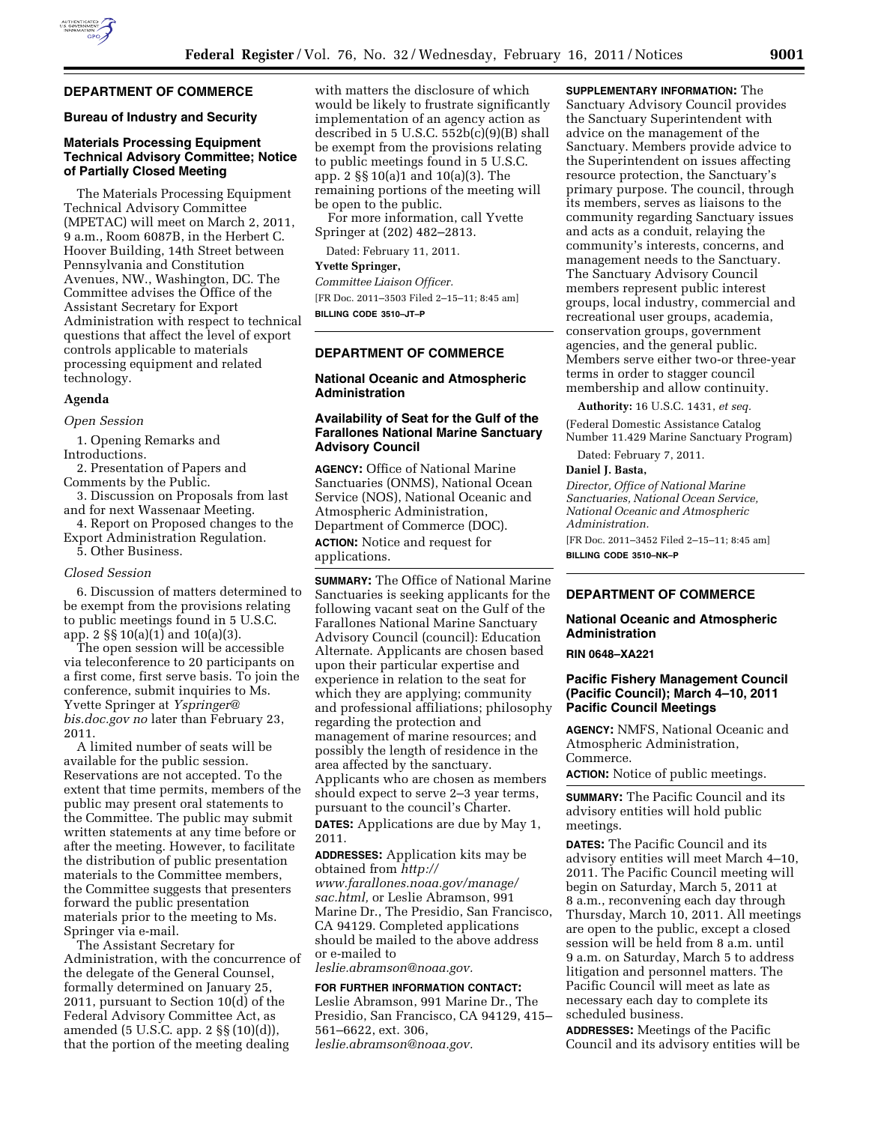

### **DEPARTMENT OF COMMERCE**

#### **Bureau of Industry and Security**

### **Materials Processing Equipment Technical Advisory Committee; Notice of Partially Closed Meeting**

The Materials Processing Equipment Technical Advisory Committee (MPETAC) will meet on March 2, 2011, 9 a.m., Room 6087B, in the Herbert C. Hoover Building, 14th Street between Pennsylvania and Constitution Avenues, NW., Washington, DC. The Committee advises the Office of the Assistant Secretary for Export Administration with respect to technical questions that affect the level of export controls applicable to materials processing equipment and related technology.

#### **Agenda**

*Open Session* 

1. Opening Remarks and Introductions.

2. Presentation of Papers and Comments by the Public.

- 3. Discussion on Proposals from last and for next Wassenaar Meeting.
- 4. Report on Proposed changes to the Export Administration Regulation.

5. Other Business.

#### *Closed Session*

6. Discussion of matters determined to be exempt from the provisions relating to public meetings found in 5 U.S.C. app. 2 §§ 10(a)(1) and 10(a)(3).

The open session will be accessible via teleconference to 20 participants on a first come, first serve basis. To join the conference, submit inquiries to Ms. Yvette Springer at *[Yspringer@](mailto:Yspringer@bis.doc.gov)  [bis.doc.gov](mailto:Yspringer@bis.doc.gov) no* later than February 23, 2011.

A limited number of seats will be available for the public session. Reservations are not accepted. To the extent that time permits, members of the public may present oral statements to the Committee. The public may submit written statements at any time before or after the meeting. However, to facilitate the distribution of public presentation materials to the Committee members, the Committee suggests that presenters forward the public presentation materials prior to the meeting to Ms. Springer via e-mail.

The Assistant Secretary for Administration, with the concurrence of the delegate of the General Counsel, formally determined on January 25, 2011, pursuant to Section 10(d) of the Federal Advisory Committee Act, as amended (5 U.S.C. app. 2 §§ (10)(d)), that the portion of the meeting dealing

with matters the disclosure of which would be likely to frustrate significantly implementation of an agency action as described in 5 U.S.C. 552b(c)(9)(B) shall be exempt from the provisions relating to public meetings found in 5 U.S.C. app. 2 §§ 10(a)1 and 10(a)(3). The remaining portions of the meeting will be open to the public.

For more information, call Yvette Springer at (202) 482–2813.

Dated: February 11, 2011.

#### **Yvette Springer,**

*Committee Liaison Officer.*  [FR Doc. 2011–3503 Filed 2–15–11; 8:45 am] **BILLING CODE 3510–JT–P** 

### **DEPARTMENT OF COMMERCE**

### **National Oceanic and Atmospheric Administration**

### **Availability of Seat for the Gulf of the Farallones National Marine Sanctuary Advisory Council**

**AGENCY:** Office of National Marine Sanctuaries (ONMS), National Ocean Service (NOS), National Oceanic and Atmospheric Administration, Department of Commerce (DOC). **ACTION:** Notice and request for applications.

**SUMMARY:** The Office of National Marine Sanctuaries is seeking applicants for the following vacant seat on the Gulf of the Farallones National Marine Sanctuary Advisory Council (council): Education Alternate. Applicants are chosen based upon their particular expertise and experience in relation to the seat for which they are applying; community and professional affiliations; philosophy regarding the protection and management of marine resources; and possibly the length of residence in the area affected by the sanctuary. Applicants who are chosen as members should expect to serve 2–3 year terms, pursuant to the council's Charter. **DATES:** Applications are due by May 1, 2011.

**ADDRESSES:** Application kits may be obtained from *[http://](http://www.farallones.noaa.gov/manage/sac.html)  [www.farallones.noaa.gov/manage/](http://www.farallones.noaa.gov/manage/sac.html) [sac.html,](http://www.farallones.noaa.gov/manage/sac.html)* or Leslie Abramson, 991 Marine Dr., The Presidio, San Francisco, CA 94129. Completed applications should be mailed to the above address or e-mailed to

*[leslie.abramson@noaa.gov.](mailto:leslie.abramson@noaa.gov)* 

### **FOR FURTHER INFORMATION CONTACT:**  Leslie Abramson, 991 Marine Dr., The Presidio, San Francisco, CA 94129, 415– 561–6622, ext. 306, *[leslie.abramson@noaa.gov.](mailto:leslie.abramson@noaa.gov)*

**SUPPLEMENTARY INFORMATION:** The Sanctuary Advisory Council provides the Sanctuary Superintendent with advice on the management of the Sanctuary. Members provide advice to the Superintendent on issues affecting resource protection, the Sanctuary's primary purpose. The council, through its members, serves as liaisons to the community regarding Sanctuary issues and acts as a conduit, relaying the community's interests, concerns, and management needs to the Sanctuary. The Sanctuary Advisory Council members represent public interest groups, local industry, commercial and recreational user groups, academia, conservation groups, government agencies, and the general public. Members serve either two-or three-year terms in order to stagger council membership and allow continuity.

**Authority:** 16 U.S.C. 1431, *et seq.* 

(Federal Domestic Assistance Catalog Number 11.429 Marine Sanctuary Program)

Dated: February 7, 2011.

#### **Daniel J. Basta,**

*Director, Office of National Marine Sanctuaries, National Ocean Service, National Oceanic and Atmospheric Administration.*  [FR Doc. 2011–3452 Filed 2–15–11; 8:45 am] **BILLING CODE 3510–NK–P** 

# **DEPARTMENT OF COMMERCE**

# **National Oceanic and Atmospheric Administration**

### **RIN 0648–XA221**

### **Pacific Fishery Management Council (Pacific Council); March 4–10, 2011 Pacific Council Meetings**

**AGENCY:** NMFS, National Oceanic and Atmospheric Administration, Commerce.

**ACTION:** Notice of public meetings.

**SUMMARY:** The Pacific Council and its advisory entities will hold public meetings.

**DATES:** The Pacific Council and its advisory entities will meet March 4–10, 2011. The Pacific Council meeting will begin on Saturday, March 5, 2011 at 8 a.m., reconvening each day through Thursday, March 10, 2011. All meetings are open to the public, except a closed session will be held from 8 a.m. until 9 a.m. on Saturday, March 5 to address litigation and personnel matters. The Pacific Council will meet as late as necessary each day to complete its scheduled business.

**ADDRESSES:** Meetings of the Pacific Council and its advisory entities will be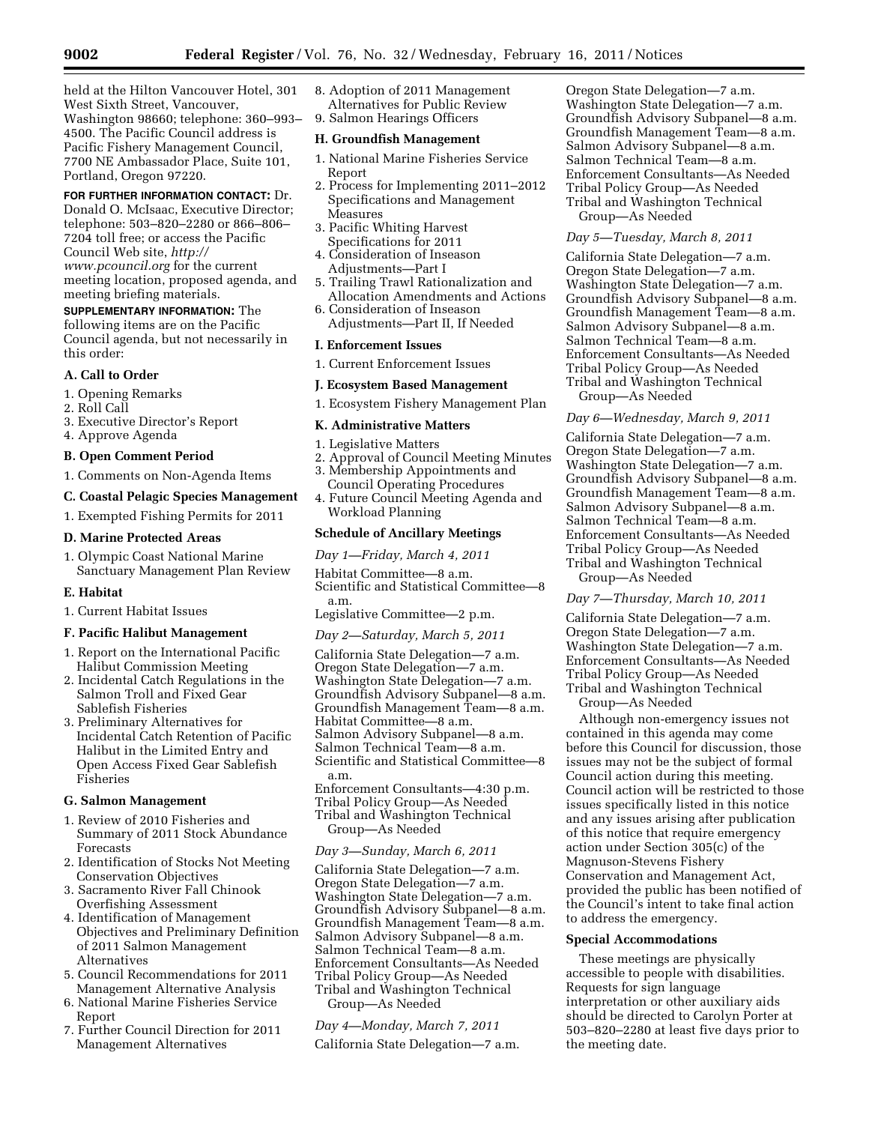held at the Hilton Vancouver Hotel, 301 West Sixth Street, Vancouver, Washington 98660; telephone: 360–993– 4500. The Pacific Council address is Pacific Fishery Management Council, 7700 NE Ambassador Place, Suite 101, Portland, Oregon 97220.

# **FOR FURTHER INFORMATION CONTACT:** Dr.

Donald O. McIsaac, Executive Director; telephone: 503–820–2280 or 866–806– 7204 toll free; or access the Pacific Council Web site, *[http://](http://www.pcouncil.org)  [www.pcouncil.org](http://www.pcouncil.org)* for the current meeting location, proposed agenda, and meeting briefing materials.

#### **SUPPLEMENTARY INFORMATION:** The

following items are on the Pacific Council agenda, but not necessarily in this order:

# **A. Call to Order**

1. Opening Remarks

- 2. Roll Call
- 3. Executive Director's Report
- 4. Approve Agenda

# **B. Open Comment Period**

1. Comments on Non-Agenda Items

## **C. Coastal Pelagic Species Management**

1. Exempted Fishing Permits for 2011

### **D. Marine Protected Areas**

1. Olympic Coast National Marine Sanctuary Management Plan Review

#### **E. Habitat**

1. Current Habitat Issues

### **F. Pacific Halibut Management**

- 1. Report on the International Pacific Halibut Commission Meeting
- 2. Incidental Catch Regulations in the Salmon Troll and Fixed Gear Sablefish Fisheries
- 3. Preliminary Alternatives for Incidental Catch Retention of Pacific Halibut in the Limited Entry and Open Access Fixed Gear Sablefish Fisheries

#### **G. Salmon Management**

- 1. Review of 2010 Fisheries and Summary of 2011 Stock Abundance Forecasts
- 2. Identification of Stocks Not Meeting Conservation Objectives
- 3. Sacramento River Fall Chinook Overfishing Assessment
- 4. Identification of Management Objectives and Preliminary Definition of 2011 Salmon Management Alternatives
- 5. Council Recommendations for 2011 Management Alternative Analysis
- 6. National Marine Fisheries Service Report
- 7. Further Council Direction for 2011 Management Alternatives

8. Adoption of 2011 Management Alternatives for Public Review 9. Salmon Hearings Officers

#### **H. Groundfish Management**

- 1. National Marine Fisheries Service Report
- 2. Process for Implementing 2011–2012 Specifications and Management Measures
- 3. Pacific Whiting Harvest Specifications for 2011
- 4. Consideration of Inseason Adjustments—Part I
- 5. Trailing Trawl Rationalization and Allocation Amendments and Actions
- 6. Consideration of Inseason Adjustments—Part II, If Needed

#### **I. Enforcement Issues**

1. Current Enforcement Issues

### **J. Ecosystem Based Management**

1. Ecosystem Fishery Management Plan

#### **K. Administrative Matters**

- 1. Legislative Matters
- 2. Approval of Council Meeting Minutes
- 3. Membership Appointments and Council Operating Procedures
- 4. Future Council Meeting Agenda and Workload Planning

#### **Schedule of Ancillary Meetings**

*Day 1—Friday, March 4, 2011* 

Habitat Committee—8 a.m. Scientific and Statistical Committee—8 a.m.

Legislative Committee—2 p.m.

#### *Day 2—Saturday, March 5, 2011*

California State Delegation—7 a.m. Oregon State Delegation—7 a.m. Washington State Delegation—7 a.m. Groundfish Advisory Subpanel—8 a.m. Groundfish Management Team—8 a.m. Habitat Committee—8 a.m. Salmon Advisory Subpanel—8 a.m. Salmon Technical Team—8 a.m. Scientific and Statistical Committee—8 a.m.

Enforcement Consultants—4:30 p.m. Tribal Policy Group—As Needed Tribal and Washington Technical Group—As Needed

#### *Day 3—Sunday, March 6, 2011*

California State Delegation—7 a.m. Oregon State Delegation—7 a.m. Washington State Delegation—7 a.m. Groundfish Advisory Subpanel—8 a.m. Groundfish Management Team—8 a.m. Salmon Advisory Subpanel—8 a.m. Salmon Technical Team—8 a.m. Enforcement Consultants—As Needed Tribal Policy Group—As Needed Tribal and Washington Technical

Group—As Needed

#### *Day 4—Monday, March 7, 2011*

California State Delegation—7 a.m.

Oregon State Delegation—7 a.m. Washington State Delegation—7 a.m. Groundfish Advisory Subpanel—8 a.m. Groundfish Management Team—8 a.m. Salmon Advisory Subpanel—8 a.m. Salmon Technical Team—8 a.m. Enforcement Consultants—As Needed Tribal Policy Group—As Needed Tribal and Washington Technical Group—As Needed

#### *Day 5—Tuesday, March 8, 2011*

California State Delegation—7 a.m. Oregon State Delegation—7 a.m. Washington State Delegation—7 a.m. Groundfish Advisory Subpanel—8 a.m. Groundfish Management Team—8 a.m. Salmon Advisory Subpanel—8 a.m. Salmon Technical Team—8 a.m. Enforcement Consultants—As Needed Tribal Policy Group—As Needed Tribal and Washington Technical Group—As Needed

# *Day 6—Wednesday, March 9, 2011*

California State Delegation—7 a.m. Oregon State Delegation—7 a.m. Washington State Delegation—7 a.m. Groundfish Advisory Subpanel—8 a.m. Groundfish Management Team—8 a.m. Salmon Advisory Subpanel—8 a.m. Salmon Technical Team—8 a.m. Enforcement Consultants—As Needed Tribal Policy Group—As Needed Tribal and Washington Technical Group—As Needed

## *Day 7—Thursday, March 10, 2011*

California State Delegation—7 a.m. Oregon State Delegation—7 a.m. Washington State Delegation—7 a.m. Enforcement Consultants—As Needed Tribal Policy Group—As Needed Tribal and Washington Technical

Group—As Needed

Although non-emergency issues not contained in this agenda may come before this Council for discussion, those issues may not be the subject of formal Council action during this meeting. Council action will be restricted to those issues specifically listed in this notice and any issues arising after publication of this notice that require emergency action under Section 305(c) of the Magnuson-Stevens Fishery Conservation and Management Act, provided the public has been notified of the Council's intent to take final action to address the emergency.

#### **Special Accommodations**

These meetings are physically accessible to people with disabilities. Requests for sign language interpretation or other auxiliary aids should be directed to Carolyn Porter at 503–820–2280 at least five days prior to the meeting date.